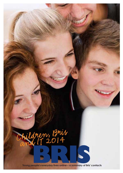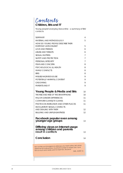*Contents*

## **Children, Bris and IT**

Young people's everyday lives online – a summary of Bris' contacts

| SUMMARY                                                                                                                                   | 4                 |
|-------------------------------------------------------------------------------------------------------------------------------------------|-------------------|
| <b>MATERIAL AND METHODOLOGY</b>                                                                                                           | 5                 |
| <b>HOW DO YOUNG PEOPLE DESCRIBE THEIR</b>                                                                                                 |                   |
| <b>EVERYDAY LIVES ONLINE?</b>                                                                                                             | 5                 |
| LOVE AND FRIENDS                                                                                                                          | 6                 |
| <b>ABUSE AND THREATS</b>                                                                                                                  | 6                 |
| <b>SEXUAL MATTERS</b>                                                                                                                     | 7                 |
| <b>SAFETY AND PROTECTION</b>                                                                                                              | 7                 |
| PERSONAL INTEGRITY                                                                                                                        | 7                 |
| <b>FFAR AND CONCERN</b>                                                                                                                   | 8                 |
| PSYCHOLOGICAL ILL HEALTH                                                                                                                  | 8                 |
| <b>FAMILY CONFLICTS</b>                                                                                                                   | 8                 |
| <b>BRIS</b>                                                                                                                               | 8                 |
| MISUSE/HAZARDOUS USE                                                                                                                      | 9                 |
| POTENTIALLY HARMFUL CONTENT                                                                                                               | 9                 |
| <b>GROOMING</b>                                                                                                                           | 9                 |
| PARENTS AND IT                                                                                                                            | 9                 |
| Young People & Media and Bris                                                                                                             | 10                |
| THE RISE AND RISE OF THE SMARTPHONE                                                                                                       | 10                |
| <b>MAJOR GENDER DIFFERENCES</b>                                                                                                           | 11                |
| <b>COMPUTER GAMES/TV GAMES</b>                                                                                                            | 11                |
| PHOTOS ON INSTAGRAM AND OTHER PLACES                                                                                                      | 11                |
| <b>INVOLUNTARY SEXUAL CONTACTS</b>                                                                                                        |                   |
| AND DEALING WITH THEM                                                                                                                     | $12 \overline{ }$ |
| <b>BULLYING AND UNPLEASANTNESS</b>                                                                                                        | 12                |
| Facebook popular even among                                                                                                               |                   |
| younger age groups                                                                                                                        | 13                |
| Differing views on Internet usage                                                                                                         |                   |
| among children and parents<br>result in conflicts                                                                                         | 13                |
|                                                                                                                                           |                   |
| Conclusion                                                                                                                                | 14                |
|                                                                                                                                           |                   |
| He's not like you'd imagine an older guy you meet online. He's never<br>asked me for nude photos, my phone number or where I live. I love |                   |
| him so much and I really want to meet him. Should I?                                                                                      | GIRL, AGED 12.    |
|                                                                                                                                           |                   |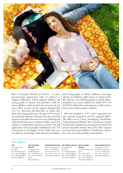

Bris– Children's Rights in Society – is a nongovernmental organisation with no political or religious affiliations, which supports children and young people in distress. Bris provides a link between children, adults and the rest of society. At the core of Bris' services are the support channels Bris 116 111, Bris-mail and Bris-chat, to which children and young people up to the age of 18 can turn anonymously and free of charge when they need the support of an adult. Bris also serves as a lobbying and referral body that aims to enhance adults' respect for children as individuals and also to achieve the full application of the principles established in the UN Convention of the Rights of the Child. Bris uses its collective knowledge of the situation of children and young people to inform, influence and shape opinion in children's rights issues at various levels. Bris also has a site offering support to adults (Barnperspektivet.se) and a helpline for adults (077-150 50 50) for adults who need someone to talk to about their own or other people's children.

Bris was founded in 1971 and is organised into one national association with five regional offices. The offices are in Umeå, Norrköping, Stockholm, Gothenburg and Malmö. Bris' activities are funded by financial contributions and donations from both private and public donors. Since 2013, Bris' support activities have been staffed by 18 full-time counsellors who are based centrally in Stockholm.

#### *Bris' offices*

#### **BRIS**

Sveavägen 38 Box 3415 SE-103 68 Stockholm Tel.: +46-8-598 888 00 Fax: +46-8-598 888 01 Email: info@Bris.se

**BRIS NORTHERN REGION**

Kunasaatan 36 SE-903 25 Umeå Tel.: +46-90-203 65 10 Fax: +46-90-203 65 11 Email: Bris.nord@Bris.se

**BRIS WESTERN REGION** Södra Hamngatan 25 SE-411 14 Göteborg Tel.: +46-31-750 11 30

Fax: +46-31-750 11 31 Email: Bris.vast@Bris.se **BRIS CENTRAL REGION** Sveavägen 38 Box 3415 SE-103 68 Stockholm Tel.: +46-8-598 888 00 Fax: +46-8-598 888 01 Email: Bris.mitt@Bris.se

#### **BRIS SOUTHERN**

**REGION** Östra Rönneholmsvägen 7 SE-211 47 Malmö Tel.: +46-40-690 80 70 Fax: +46-40-690 80 71 Email: Bris.syd@Bris.se

#### **BRIS EASTERN REGION**

Korsaatan 2, Hus E SE-602 33 Norrköping Tel.: +46-11-440 05 50 Fax: +46-11-440 05 51 Email: Bris.ost@Bris.se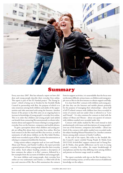

# Summary

Every year since 2007, Bris has released a report on how children and young people describe their everyday lives online. This report is part of the EU-funded project "The Young Internet", which is being run in Sweden by the Swedish Media Council in partnership with Bris, the purpose of which is to raise awareness among both children and adults of the opportunities and risks associated with using the Internet. Another feature of the project is that Bris aims on an ongoing basis to increase its knowledge of young people's everyday lives online. This is in order that children and young people (and adults) can benefit from contacting Bris anonymously to obtain information about and support for issues relating to young people's everyday lives on the Internet, computers and mobile phones.

To gain a perception about what children and young people are telling Bris about their everyday lives online, Bris has read contacts in the Bris-mail and Bris-chat services, as well as summaries of calls about children on the Bris Adult Hotline, which were recorded as part of Bris' routine documentation as relating to computers/mobiles/the Internet.

Using various subject categories such as Love and Friends, Abuse and Threats, and Family Conflicts, the report provides a general picture of how young people describe their everyday lives online. Each subject heading contains a description of how common the subject is in Bris' contacts, followed by a few examples from the accounts of children and young people.

For most children and young people, their everyday lives online are very undramatic and routine, i.e. filled with all the joys and concerns of life. But as Bris summarises the contacts

from its support activities, it is unavoidable that the focus rests on the more difficult, serious issues, as children and young people turn to Bris in the first instance to obtain support and help.

It is clear from Bris' contacts with children and young people that they use the Internet and mobile phones primarily for the purpose of managing their relationships – about half of all IT-related contacts with children have been recorded in terms of content and text under what is referred to as "Love and Friends". It is also common for contacts to deal with the subject of Abuse and Threats – about one quarter of contacts with children studied were recorded under this.

Contacts with adults studied by Bris tend instead to deal predominantly with issues and descriptions of young people's over-use of the Internet, computers and mobiles – about one third of the contacts with adults studied were recorded under the subject heading Misuse/Hazardous Use. Another common theme among adult contacts is Family Conflicts.

At the end of the report, Bris refers to the Swedish Media Council's report entitled Young People & Media from 2012/2103. In both Bris' support contacts and in Young People & Media, clear gender differences can be seen in young people's everyday lives online, the major breakthrough of smartphones and the fact that differing views among children and parents on Internet usage result in conflicts.

The report concludes with tips on the Bris Academy's lectures and training courses, as well as other sources of additional knowledge on the subject.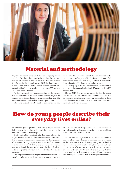

# Material and methodology

To gain a perception about what children and young people are telling Bris about their everyday lives online, Bris has read through all contacts in the Bris-mail and Bris-chat services from September 2012 until August 2013 that have been recorded as part of Bris' routine documentation under Computers/Mobiles/The Internet. In total there were 555 contacts – 371 emails and 194 chats.

As they were read, they were categorised on the basis of whether the contact fell into one or more different subjects, for example Love, Abuse/Threats or Misuse/Hazardous Use. The results in the report are based on these categorisations.

The same method was also used to summarise contacts

via the Bris Adult Hotline – about children, reported under the contact area Computers/Mobiles/Internet. A total of 87 conversation summaries were read, 53 of which contained a description of the IT-related content of the contact.

The average age of the children in the child contacts studied is 14.4, and the gender distribution is 87 per cent girls and 13 per cent boys.

During 2013 Bris worked to further develop the system used to document all contacts in its support activities. This development work has meant that it was not possible to document the contacts to the usual extent. There are thus no statistics available of these contacts.

# How do young people describe their everyday lives online?

To provide a general picture of how young people describe their everyday lives online, in the text below we describe the most central subjects that emerged.

Under each subject heading is a brief summary of what the subject involves, as well as a few representative examples from Bris' contacts. There are more examples in the closing section of the report, "Young People & Media and Bris". All examples are drawn from 2012/2013 and are based on authentic material, although the material has been edited and abridged, and also adapted to make sure that no individual child can be identified.

The subjects in the report are presented in order of size, i.e. according to how frequently they occur among the contacts with children studied. The proportion of adult contacts studied and examples of them are reported when it was considered relevant for the subject in question.

It can be confirmed in general that the children's accounts to Bris provide a broad reflection of their everyday lives online. At the same time it is worth noting that given the kind of support activities carried out by Bris, there is a natural overrepresentation of accounts that deal with more or less serious problems and events. In this context, one might say that this report is rather a reflection of young people's problems and vulnerability online, rather than their everyday lives online.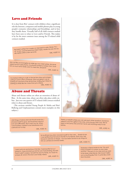## Love and Friends

It is clear from Bris' contacts with children what a significant role the Internet, computers and mobile phones play in young people's romantic relationships and friendships, and in how they handle them. Virtually half of all child contacts studied have been seen to relate to Love and/or Friends. This makes it by far the most common issue among the IT-related child contacts studied.

He hadn't written for a week, so I decided to write. Wrote "Hi :) -10 to him, and he read it but didn't reply. Made me sad. He usually replies within a few seconds. GIRL, AGED 14.

He's not like you'd imagine an older guy you meet online. He never asked me for nude photos, my phone number or where I live. I love him so much and I really want to meet him. Should I?

GIRL, AGED 12.

I've started writing to a girl. In the last few days we've been writing to each other constantly. She's just great! I can sit looking at a picture of her all the time, smiling. But I think I'm starting to really like her, more than just a friend. GIRL, AGED 15.

### Abuse and Threats

Abuse and threats online are often an extension of abuse offline. At the same time, abuse can often take place solely online. Just over one quarter of IT-related child contacts studied relate to abuse and threats.

(The sections entitled Young People & Media and Bris/ Bullying and Unpleasantness contain more examples on this subject.)

I did things a twelve-year-old should never do. I showed myself to guys, and received a kind of love and affirmation. But it went too far. When I was fourteen I started to be threatened and coerced not to stop.

GIRL, AGED 18.

There's a website where you can ask each other questions. Someone asked if I was the ugliest in the class, and one guy said I was. We've been in the same class and he's never said anything nasty to me before.

GIRL, AGED 14.

So he filmed me when I showed myself on the cam.... Stupid of me, I was terrified that he'd show the film to my friends. That's why I felt forced to add him on Skype. I've now been forced to do things for him on camera for several weeks. GIRL, AGED 15.

I went onto an anonymous chat site, it seemed like fun so I joined in. A guy showed up and he was masturbating. He said that if I didn't undress, he'd kill me and my family. So I took my jumper off, and in the end I was totally naked.

GIRL, AGED 12.

Yesterday a friend wrote to me: "Go and hang yourself in a corner, no one cares anyway." The guy's in my class and we used to be quite close friends. We haven't fallen out or anything like that, it came like a bolt from the blue.

GIRL, AGED 14.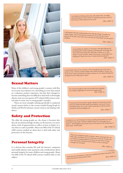

### Sexual Matters

Many of the children's and young people's contacts with Bris are in some way related to sex, describing an event that started as a voluntary, positive experience, but that then changed to become something that was difficult to deal with or downright abusive. Just over one quarter of IT-related child contacts studied relate in some way to young people's sexuality.

(There are more examples relating specifically to undesired sexual contacts below in the section entitled Young People & Media and Bris/Involuntary sexual contacts and dealing with them.)

# Safety and Protection

The older the young people are, the clearer it becomes that they do not lack knowledge of safety on the Internet. It is more about a lack of opportunities to reflect on how to behave in a way that is as safe as possible. About one fifth of the IT-related child contacts studied are about how to deal with safety and protection on the Internet.

# Personal Integrity

It is obvious that everyday life with the Internet, computers and mobile phones raises questions and considerations about personal integrity for many children and young people. About one fifth of the IT-related child contacts studied relate to this subject.

I've started chatting about sex with older men, I'm really ashamed about it. But I think I'm doing it because I want to be loved, to feel attractive for once.

GIRL, AGED 16.

It all started with him saying really nice, friendly things. It made me really happy, and in the end we moved on to sex. He sent me a picture of his willy, and I sent him a picture of my breasts, but he wasn't

GIRL, AGED 15.

I was looking at videos on YouTube, with girls kissing and fondling each other's breasts and between their legs. But they were only doing this with their clothes on, so that doesn't count as porn, does it? Anyway, it was really nice looking at it then, but now I mainly feel bad about it. GIRL, AGED 12.

A classmate took out his camera in the changing room and took a photo of me. I think it's really horrible with all the mobiles in there, you never know when someone has their camera on. So I keep finding lots of reasons not to take part in sport.

BOY, AGED 14.

Do I have the right to ban my mother from reading my mobile, regardless of what has happened? BOY, AGED 15.

I'll never phone the police again. Spoke to some old woman who just made me feel worse than before. Just want to put it all behind me, but I can't. Want someone to tell me what I should do without judging me.

GIRL, AGED 17.

I started to cry. He'd tricked me about posting the photos on a site that didn't even exist. I'd been naked in front of a stranger for no reason. What frightens me most now is if the photos are distributed. If they were, I'd kill myself.

GIRL, AGED 12.

Then we changed mobile number. When I phoned him, his little sister answered. Do you think he's a normal 15-year-old or maybe a paedophile? And does he now know where I live, because I phoned him? Is there no whow when<br>Change my number? In the state of risk, or should I

GIRL, AGED 13.

I look at porn sometimes. I check my mobile and clear the history. But can it be seen in some other way?

BOY, AGED 12.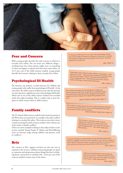

#### Fear and Concern

When young people describe fear and concern in relation to everyday lives online, this can mean very different things – anything from how their parents might react to something to what can happen to photos that have been used online. In 10-15 per cent of the child contacts studied, young people describe fear/concern relating to their everyday lives online.

## Psychological Ill Health

The Internet can perform a useful function for children and young people who suffer from psychological ill health. At the same time, the child contacts studied recount that the Internet can also represent a significant cause of psychological ill health. About one in ten of the child contacts studied were recorded under this subject heading. This is a subject that is more frequent in adult contacts than in child contacts.

# Family conflicts

The IT-related child contacts studied rarely mention parents at all. When they are mentioned, it is usually to describe conflicts relating to everyday life online. This is also an area that is more common among the adult contacts studied, where almost one in five relate to family conflicts.

(There are more examples relating to this subject below in the section entitled Young People & Media and Bris/Differing views on Internet usage among children and parents result in conflicts.)

## Bris

The contacts in Bris' support activities are also one way to respond to the services. Children and young people are quick to comment and ask questions about things that they're thinking about, annoyed by or satisfied with. A few per cent of the contacts studied contain some of the above.

I'm always worried that I'm on a porn site somewhere. When I was a bit younger I showed my things on a site and I'm worried that someone might have recorded it and saved it, and then posted it on a porn site.

GIRL, AGED 14

I feel bad if I see someone who's written, for example, "can't take it any more...". Because then at least four people wrote that they are there to talk to, that they should tell them what's happened, etc. I feel sad because I know that if I wrote something, no one would write back.

GIRL, AGED 15.

The mother has looked at her daughter's mobile and found a photo of her wrist, where she'd cut herself. Earlier, the mother had noticed that her daughter had visited a website on the computer that dealt with self-destructiveness.

ADULT CONTACT ABOUT GIRL AGED 13.

The mother's worried about her son's (online) gaming addiction. It's become so bad that he's hit her and threatened her when she wouldn't let him use the Internet.

ADULT CONTACT ABOUT BOY AGED 15.

Mum wrote a comment under a status, asking why I wrote such nasty words. And she phoned my dad, who told me I shouldn't write things like that. I got really angry and<br>blocked him.

GIRL, AGED 12.

I wonder whether you think people should tell their parents that they're using Bris? I've sent in a few questions, but I haven't spoken to them about it. Because it feels so good to be able to write just what you want and at the same time remain totally anonymous. :) GIRL, AGED 12

> I think you should employ more people so that we can chat. I've been trying for 3 days now to write to you, but can't get in because it's too busy. I really need help !!!!

GIRL, AGED 15.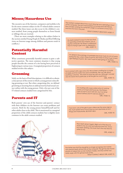# Misuse/Hazardous Use

The excessive use of the Internet, computers and mobiles is by far the most common subject in the IT-related adults contacts studied. But these issues can also occur in the children's contacts studied, from young people themselves or from friends or siblings who are worried.

(There are more examples relating to this subject below in the section entitled Young People & Media and Bris/Differing views on Internet usage among children and parents result in conflicts.)

#### Potentially Harmful Content

What constitutes potentially harmful content is quite a subjective question. The most common situation is that young people describe the content of a site having been perceived as frightening in various ways. A marginal proportion of contacts studied involve this subject.

#### Grooming

Solely on the basis of brief descriptions, it is difficult to obtain a clear picture of the extent to which a young person is describing grooming or not. But when categorising this, we defined grooming as meaning that an adult person has had sexual contact online with the young person. Only a few per cent of the IT-related contacts studied were categorised for this.

# Parents and IT

Both parents' own use of the Internet and parents' contact with their children via the Internet can create problems and concern. Both for the young person himself/herself and for other adults close to the child. This is mentioned in a marginal proportion of the child contacts studied, but is slightly more common in the adult contacts studied.



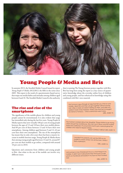

# Young People & Media and Bris

In autumn 2013, the Swedish Media Council issued its report *Young People & Media 2012/2013,* the fifth in the series since 2005. This report is the result of a questionnaire-based survey that maps out media habits and attitudes among children aged between 0 and 18. The Swedish Media Council is the authority

#### The rise and rise of the smartphone

The significance of the mobile phone for children and young people cannot be overestimated. It is also evident that usage has intensified only during the last few years. Young People & Media reports that now virtually 100 per cent of young people between the ages of 13 and 18 have their own mobile phone. And 89 per cent of those between 13 and 16 have their own smartphone. Among children aged between 9 and 12, 62 per cent have their own smartphone. The rise of the smartphone has meant that in only a few years there has been a massive increase in mobile Internet usage. Young People & Media shows that among young people aged between 13 and 16, around 87 per cent use their mobile to go online, compared with around 10 per cent in 2010.

Questions and comments from children and young people to Bris that relate to the use of the mobile can involve very different issues.

that is running The Young Internet project together with Bris. Bris has long been using the report as a key source of quantitative knowledge about the everyday online lives of children and young people, and has enhanced its knowledge using this combined with Bris' own material.

> Got to know a guy through an app that lets you chat on your mobile. I liked him and then we got together without having met. After a week we weren't texting as often, and after two weeks it more or less stopped. Today I saw that he'd changed his name to "loveyou..." and a name that wasn't mine. GIRL, AGED 14.

The mother is worried about her daughter. Things started to go wrong when she got her smartphone. She can't put it down and the mother thinks she's addicted. At school she's had to join a special group for children who need to repeat classes.

ADULT CONTACT ABOUT GIRL AGED 13.

I wonder if my parents can use the GPS on my mobile to check where I am all the time. I think it feels unpleasant.

GIRL, AGED 15.

Last summer a man threatened me on a chat thing on my mobile, if I didn't sent nude photos then he'd post a nude photo on Facebook and paste in my face so that it looked real.

GIRL, AGED 13.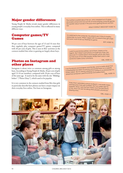# Major gender differences

Young People & Media reveals major gender differences in young people's everyday lives online. This is reflected in many different ways.

#### Computer games/TV Games

90 per cent of boys between the ages of 13 and 16 state that they regularly play computer games/TV games, compared with 36 per cent of girls. This is seen in Bris' activities as the contacts studied that relate to gaming are largely about boys.

### Photos on Instagram and other places

Instagram is about twice as common among girls as among boys. According to Young People & Media, 36 per cent of girls aged 13-16 are members, compared with 18 per cent of boys of the same age. It used to be the same with the site "Bilddagboken" ["Photo Diary"], which used to be popular.

It is very common in the contacts studied from Bris that girls in particular describe how photos can have a major impact on their everyday lives online. Not least on Instagram.

The mother is worried about her son, who's dropped out of upper secondary school and now just sits at home playing computer games. He's spoken about suicide in the past and is getting thinner and thinner.

ADULT CONTACT ABOUT BOY AGED 16.

I'm addicted to the computer. My parents don't think it's healthy (especially my mum). When I argue with my parents they get angry because I want to be up, finishing my game.

BOY, AGED 15.

I used to post photos before, lots of them. Mainly on Instagram. But I daren't post photos of myself any more. Not because I'm worried about what people will do with them, but because of how little people will like them and in case someone makes some comments.

GIRL, AGED 15.

I use Facebook and Instagram and the like, and I'm really afraid that a paedophile has taken my photos and posted them on a website totally naked. But I'm always wearing my clothes in my photos! But I'm afraid that someone's used Photoshop and edited them. GIRL, AGED 14.

Every time I uploaded a photo he liked it. I was really happy and became more self-confident. But two weeks ago he stopped. When I see that he's online I post the best photo of me, and I can see him liking other people's photos but skipping mine.

#### GIRL, AGED 17.

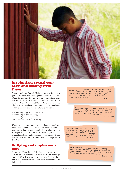

### Involuntary sexual contacts and dealing with them

According to Young People & Media, more than twice as many girls (25 per cent) than boys (10 per cent) between the ages of 13 and 16 reply that they have at some point during the last year been contacted by someone, against their will, to talk about sex. Those who answered "Yes" to this question were also asked what happened next. The answers provide a number of examples of how young people deal with such events.

62 per cent replied "Nothing special, didn't bother me".

60 per cent replied "I blocked the person".

24 per cent replied "I told my parents".

- 16 per cent replied "I was frightened".
- 7 per cent replied "I thought it was exciting".

When it comes to young people's descriptions to Bris of involuntary meetings online that relate to sex, the most common occurrence is that the contact was initially a voluntary, more or less positive contact – but that it then changed track and became both abusive and undesirable. Young people tell Bris that they deal with the situation in ways including the ones described above.

# Bullying and unpleasant- ness

According to Young People & Media, more than three times as many girls (20 per cent) than boys (6 per cent) in the age group 13-16 reply that during the last year they have been bullied or someone has been unpleasant to them online or via their mobile.

One guy we didn't know wanted to swap nude photos, and of course we said "no way", but he continued. So we joked and wrote "let's swap nude TOE photos", and took a photo of my toes just for fun. Then he sent a photo of his willy and said "just for you love, hope you like it".

GIRL, AGED 13.

He wanted to talk about sex right away and to have photos. He said he was fifteen, but I didn't really believe it. I told him off, then I blocked him. Now I don't know what to do - report him or something?

GIRL, AGED 13.

I've been bullied online for two years. I've created new accounts so that people can't find me, but now they've started again. The most common comments I get are "You're ugly" and "Commit suicide". GIRL, AGED 13.

> My ex best friend and I started to argue after I changed school. I haven't done anything at all to her, and now she's horrible towards me. She writtes that they're all happier with-<br>out me, and that it was seed it... out me, and that it was good that I moved.

GIRL, AGED 12.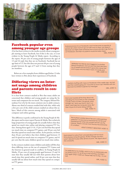

### Facebook popular even among younger age groups

A lot has been written in the media recently about young people starting to leave Facebook, but if this is the case, it is not evident in the Young People & Media report. According to the report, 96 per cent of young people between the ages of 13 and 16 reply that they are on Facebook. Facebook has an age limit of 13, but this does not prevent 68 per cent of young people between the ages of 9 and 12 from stating that they are members.

Below are a few examples from children aged below 13 who have written to Bris about their experiences of Facebook.

### Differing views on Internet usage among children and parents result in conflicts

It is clear from contacts studied at Bris that many adults are concerned that children and young people are using the Internet and computers far too much. The category Misuse/Hazardous Use is by far the most common one in adult contacts. About one third of contacts studied deal with this, while only a few per cent of the child contacts studied are about this subject. Much of this concern among adults is associated with computer and online gaming.

This difference is partly confirmed in the Young People & Media report and its sister report Parents & Media. But a relatively large proportion of young people do actually believe that they spend too much time online and playing computer/TV Games. Among those aged 13-16, 15 per cent feel that they spend too much time on computer/TV games, and 30 per cent feel that they spend too much time online. As for parents, no fewer than 36 per cent believe that their children aged between 13 and 16 spend too much time on computer/TV games, and 41 per cent that the same children spend too much time online.

In the contacts studied, many children and adults tell Bris that these differing views on the use of computer/TV Games and the Internet in general result in conflicts. In Young People & Media, 29 per cent of young people aged between 13 and 16 state that they usually fall out with their parents about how much time they spend online, and 26 per cent state that they usually fall out about how much time they spend on computer/TV games.

Everyone knows I'm on Facebook, and I've become so popular at school. But when I have to go out with mum or dad, I just daren't! Because we might meet someone from school who lets it slip that I'm on Facebook, and then my parents would be really angry! GIRL, AGED 12.

> Yesterday two friends and I logged in to another friend's Facebook. And we saw that she'd sent photos of herself and her body to guys she's never met, and to guys who live here in town. It's totally sick! GIRL, AGED 12.

I started chatting with a guy on Facebook a few weeks ago, we met and then started going out. I love him so much. But I finished with him because he started to ignore my messages.

GIRL, AGED 12.

Mum and I quarrel all the time about me spending too much time on the computer. I usually check out films, Facebook, read, Google, etc. Mum says that if I don't cut down, she'll take the computer away. But then I'd just sit at home doing nothing. GIRL, AGED 15.

> The mother's worried about her son's online gaming addiction. It's become so bad that he's hit her and threatened her when she wouldn't let him use the Internet. There's concern that the boy has some kind<br>of condition.

> > ADULT CONTACT ABOUT BOY AGED 15.

Dad started to notice that I was spending a bit too much time playing computer games. His first change was that I wasn't allowed to play after dinner at seven. We argue about this constantly.

GIRL, AGED 12.

I'm addicted to my mobile, which is why my relationship with my family is poor. I'm up till two in the morning, and then I start again when I wake up. Please help me to stop. I'm not well.

GIRL, AGED 12.